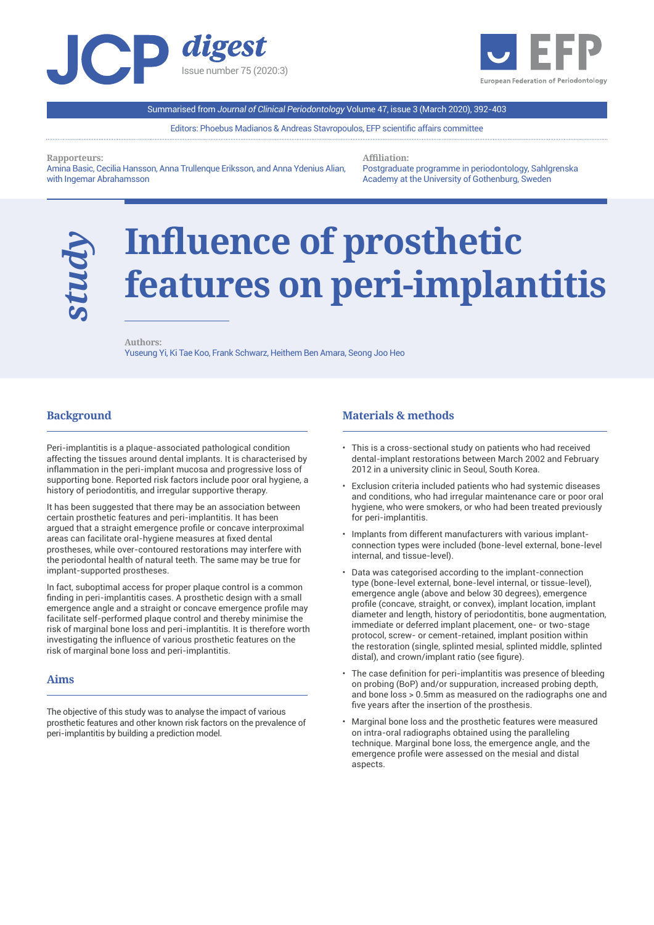



Summarised from *Journal of Clinical Periodontology* Volume 47, issue 3 (March 2020), 392-403

Editors: Phoebus Madianos & Andreas Stavropoulos, EFP scientific affairs committee

**Rapporteurs:** 

Amina Basic, Cecilia Hansson, Anna Trullenque Eriksson, and Anna Ydenius Alian, with Ingemar Abrahamsson

**Affiliation:** 

Postgraduate programme in periodontology, Sahlgrenska Academy at the University of Gothenburg, Sweden

# **Influence of prosthetic features on peri-implantitis**

l

**Authors:**  Yuseung Yi, Ki Tae Koo, Frank Schwarz, Heithem Ben Amara, Seong Joo Heo

# **Background**

*study*

l

Peri-implantitis is a plaque-associated pathological condition affecting the tissues around dental implants. It is characterised by inflammation in the peri-implant mucosa and progressive loss of supporting bone. Reported risk factors include poor oral hygiene, a history of periodontitis, and irregular supportive therapy.

It has been suggested that there may be an association between certain prosthetic features and peri-implantitis. It has been argued that a straight emergence profile or concave interproximal areas can facilitate oral-hygiene measures at fixed dental prostheses, while over-contoured restorations may interfere with the periodontal health of natural teeth. The same may be true for implant-supported prostheses.

In fact, suboptimal access for proper plaque control is a common finding in peri-implantitis cases. A prosthetic design with a small emergence angle and a straight or concave emergence profile may facilitate self-performed plaque control and thereby minimise the risk of marginal bone loss and peri-implantitis. It is therefore worth investigating the influence of various prosthetic features on the risk of marginal bone loss and peri-implantitis.

## **Aims**

 $\overline{a}$ 

The objective of this study was to analyse the impact of various prosthetic features and other known risk factors on the prevalence of peri-implantitis by building a prediction model.

## **Materials & methods**

- This is a cross-sectional study on patients who had received dental-implant restorations between March 2002 and February 2012 in a university clinic in Seoul, South Korea.
- Exclusion criteria included patients who had systemic diseases and conditions, who had irregular maintenance care or poor oral hygiene, who were smokers, or who had been treated previously for peri-implantitis.
- Implants from different manufacturers with various implantconnection types were included (bone-level external, bone-level internal, and tissue-level).
- Data was categorised according to the implant-connection type (bone-level external, bone-level internal, or tissue-level), emergence angle (above and below 30 degrees), emergence profile (concave, straight, or convex), implant location, implant diameter and length, history of periodontitis, bone augmentation, immediate or deferred implant placement, one- or two-stage protocol, screw- or cement-retained, implant position within the restoration (single, splinted mesial, splinted middle, splinted distal), and crown/implant ratio (see figure).
- The case definition for peri-implantitis was presence of bleeding on probing (BoP) and/or suppuration, increased probing depth, and bone loss > 0.5mm as measured on the radiographs one and five years after the insertion of the prosthesis.
- Marginal bone loss and the prosthetic features were measured on intra-oral radiographs obtained using the paralleling technique. Marginal bone loss, the emergence angle, and the emergence profile were assessed on the mesial and distal aspects.